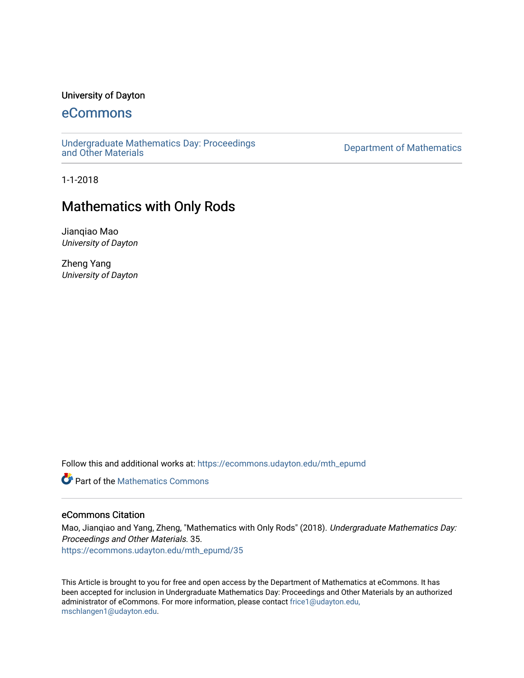## University of Dayton

# [eCommons](https://ecommons.udayton.edu/)

[Undergraduate Mathematics Day: Proceedings](https://ecommons.udayton.edu/mth_epumd) 

Department of Mathematics

1-1-2018

# Mathematics with Only Rods

Jianqiao Mao University of Dayton

Zheng Yang University of Dayton

Follow this and additional works at: [https://ecommons.udayton.edu/mth\\_epumd](https://ecommons.udayton.edu/mth_epumd?utm_source=ecommons.udayton.edu%2Fmth_epumd%2F35&utm_medium=PDF&utm_campaign=PDFCoverPages) 

**C** Part of the [Mathematics Commons](http://network.bepress.com/hgg/discipline/174?utm_source=ecommons.udayton.edu%2Fmth_epumd%2F35&utm_medium=PDF&utm_campaign=PDFCoverPages)

### eCommons Citation

Mao, Jianqiao and Yang, Zheng, "Mathematics with Only Rods" (2018). Undergraduate Mathematics Day: Proceedings and Other Materials. 35. [https://ecommons.udayton.edu/mth\\_epumd/35](https://ecommons.udayton.edu/mth_epumd/35?utm_source=ecommons.udayton.edu%2Fmth_epumd%2F35&utm_medium=PDF&utm_campaign=PDFCoverPages)

This Article is brought to you for free and open access by the Department of Mathematics at eCommons. It has been accepted for inclusion in Undergraduate Mathematics Day: Proceedings and Other Materials by an authorized administrator of eCommons. For more information, please contact [frice1@udayton.edu,](mailto:frice1@udayton.edu,%20mschlangen1@udayton.edu)  [mschlangen1@udayton.edu](mailto:frice1@udayton.edu,%20mschlangen1@udayton.edu).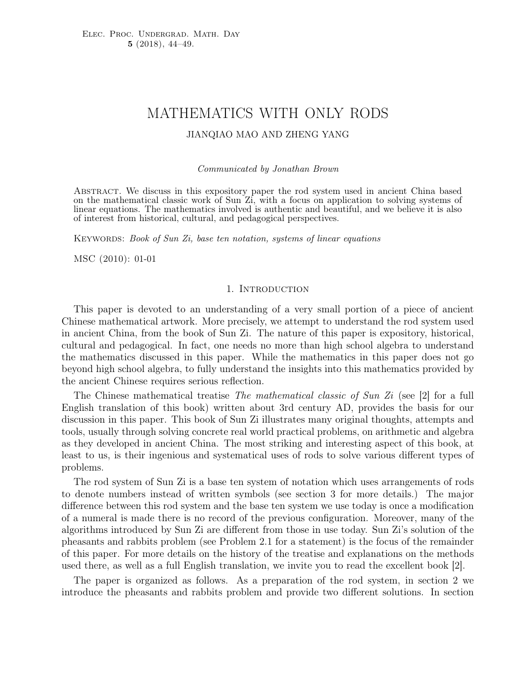# MATHEMATICS WITH ONLY RODS

#### JIANQIAO MAO AND ZHENG YANG

Communicated by Jonathan Brown

Abstract. We discuss in this expository paper the rod system used in ancient China based on the mathematical classic work of Sun Zi, with a focus on application to solving systems of linear equations. The mathematics involved is authentic and beautiful, and we believe it is also of interest from historical, cultural, and pedagogical perspectives.

KEYWORDS: Book of Sun Zi, base ten notation, systems of linear equations

MSC (2010): 01-01

#### 1. INTRODUCTION

This paper is devoted to an understanding of a very small portion of a piece of ancient Chinese mathematical artwork. More precisely, we attempt to understand the rod system used in ancient China, from the book of Sun Zi. The nature of this paper is expository, historical, cultural and pedagogical. In fact, one needs no more than high school algebra to understand the mathematics discussed in this paper. While the mathematics in this paper does not go beyond high school algebra, to fully understand the insights into this mathematics provided by the ancient Chinese requires serious reflection.

The Chinese mathematical treatise *The mathematical classic of Sun Zi* (see [2] for a full English translation of this book) written about 3rd century AD, provides the basis for our discussion in this paper. This book of Sun Zi illustrates many original thoughts, attempts and tools, usually through solving concrete real world practical problems, on arithmetic and algebra as they developed in ancient China. The most striking and interesting aspect of this book, at least to us, is their ingenious and systematical uses of rods to solve various different types of problems.

The rod system of Sun Zi is a base ten system of notation which uses arrangements of rods to denote numbers instead of written symbols (see section 3 for more details.) The major difference between this rod system and the base ten system we use today is once a modification of a numeral is made there is no record of the previous configuration. Moreover, many of the algorithms introduced by Sun Zi are different from those in use today. Sun Zi's solution of the pheasants and rabbits problem (see Problem 2.1 for a statement) is the focus of the remainder of this paper. For more details on the history of the treatise and explanations on the methods used there, as well as a full English translation, we invite you to read the excellent book [2].

The paper is organized as follows. As a preparation of the rod system, in section 2 we introduce the pheasants and rabbits problem and provide two different solutions. In section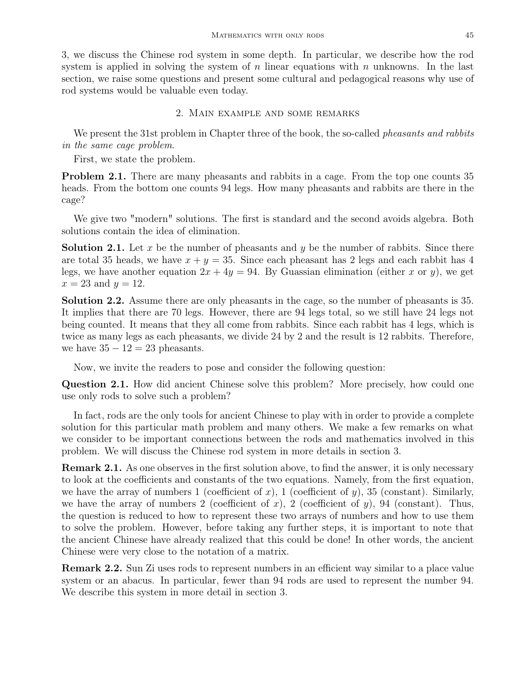3, we discuss the Chinese rod system in some depth. In particular, we describe how the rod system is applied in solving the system of n linear equations with n unknowns. In the last section, we raise some questions and present some cultural and pedagogical reasons why use of rod systems would be valuable even today.

#### 2. Main example and some remarks

We present the 31st problem in Chapter three of the book, the so-called *pheasants and rabbits* in the same cage problem.

First, we state the problem.

**Problem 2.1.** There are many pheasants and rabbits in a cage. From the top one counts 35 heads. From the bottom one counts 94 legs. How many pheasants and rabbits are there in the cage?

We give two "modern" solutions. The first is standard and the second avoids algebra. Both solutions contain the idea of elimination.

**Solution 2.1.** Let x be the number of pheasants and y be the number of rabbits. Since there are total 35 heads, we have  $x + y = 35$ . Since each pheasant has 2 legs and each rabbit has 4 legs, we have another equation  $2x + 4y = 94$ . By Guassian elimination (either x or y), we get  $x = 23$  and  $y = 12$ .

Solution 2.2. Assume there are only pheasants in the cage, so the number of pheasants is 35. It implies that there are 70 legs. However, there are 94 legs total, so we still have 24 legs not being counted. It means that they all come from rabbits. Since each rabbit has 4 legs, which is twice as many legs as each pheasants, we divide 24 by 2 and the result is 12 rabbits. Therefore, we have  $35 - 12 = 23$  pheasants.

Now, we invite the readers to pose and consider the following question:

**Question 2.1.** How did ancient Chinese solve this problem? More precisely, how could one use only rods to solve such a problem?

In fact, rods are the only tools for ancient Chinese to play with in order to provide a complete solution for this particular math problem and many others. We make a few remarks on what we consider to be important connections between the rods and mathematics involved in this problem. We will discuss the Chinese rod system in more details in section 3.

Remark 2.1. As one observes in the first solution above, to find the answer, it is only necessary to look at the coefficients and constants of the two equations. Namely, from the first equation, we have the array of numbers 1 (coefficient of x), 1 (coefficient of y), 35 (constant). Similarly, we have the array of numbers 2 (coefficient of x), 2 (coefficient of y), 94 (constant). Thus, the question is reduced to how to represent these two arrays of numbers and how to use them to solve the problem. However, before taking any further steps, it is important to note that the ancient Chinese have already realized that this could be done! In other words, the ancient Chinese were very close to the notation of a matrix.

Remark 2.2. Sun Zi uses rods to represent numbers in an efficient way similar to a place value system or an abacus. In particular, fewer than 94 rods are used to represent the number 94. We describe this system in more detail in section 3.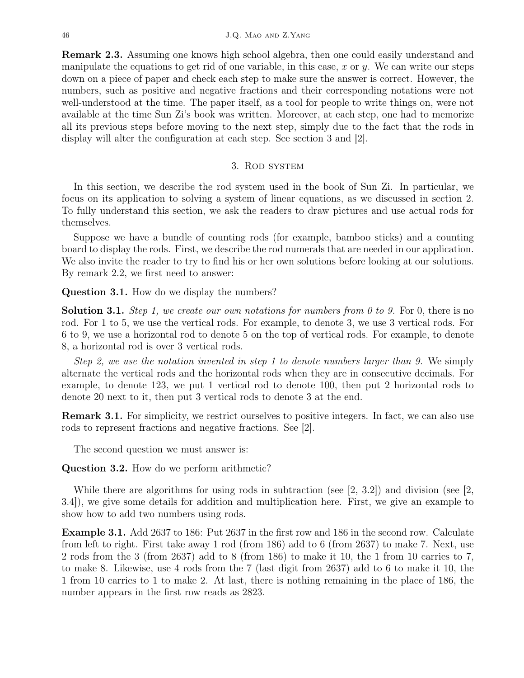Remark 2.3. Assuming one knows high school algebra, then one could easily understand and manipulate the equations to get rid of one variable, in this case, x or y. We can write our steps down on a piece of paper and check each step to make sure the answer is correct. However, the numbers, such as positive and negative fractions and their corresponding notations were not well-understood at the time. The paper itself, as a tool for people to write things on, were not available at the time Sun Zi's book was written. Moreover, at each step, one had to memorize all its previous steps before moving to the next step, simply due to the fact that the rods in display will alter the configuration at each step. See section 3 and [2].

### 3. Rod system

In this section, we describe the rod system used in the book of Sun Zi. In particular, we focus on its application to solving a system of linear equations, as we discussed in section 2. To fully understand this section, we ask the readers to draw pictures and use actual rods for themselves.

Suppose we have a bundle of counting rods (for example, bamboo sticks) and a counting board to display the rods. First, we describe the rod numerals that are needed in our application. We also invite the reader to try to find his or her own solutions before looking at our solutions. By remark 2.2, we first need to answer:

Question 3.1. How do we display the numbers?

**Solution 3.1.** Step 1, we create our own notations for numbers from 0 to 9. For 0, there is no rod. For 1 to 5, we use the vertical rods. For example, to denote 3, we use 3 vertical rods. For 6 to 9, we use a horizontal rod to denote 5 on the top of vertical rods. For example, to denote 8, a horizontal rod is over 3 vertical rods.

Step 2, we use the notation invented in step 1 to denote numbers larger than 9. We simply alternate the vertical rods and the horizontal rods when they are in consecutive decimals. For example, to denote 123, we put 1 vertical rod to denote 100, then put 2 horizontal rods to denote 20 next to it, then put 3 vertical rods to denote 3 at the end.

Remark 3.1. For simplicity, we restrict ourselves to positive integers. In fact, we can also use rods to represent fractions and negative fractions. See [2].

The second question we must answer is:

Question 3.2. How do we perform arithmetic?

While there are algorithms for using rods in subtraction (see  $(2, 3.2)$ ) and division (see  $(2, 3.2)$ ) 3.4]), we give some details for addition and multiplication here. First, we give an example to show how to add two numbers using rods.

Example 3.1. Add 2637 to 186: Put 2637 in the first row and 186 in the second row. Calculate from left to right. First take away 1 rod (from 186) add to 6 (from 2637) to make 7. Next, use 2 rods from the 3 (from 2637) add to 8 (from 186) to make it 10, the 1 from 10 carries to 7, to make 8. Likewise, use 4 rods from the 7 (last digit from 2637) add to 6 to make it 10, the 1 from 10 carries to 1 to make 2. At last, there is nothing remaining in the place of 186, the number appears in the first row reads as 2823.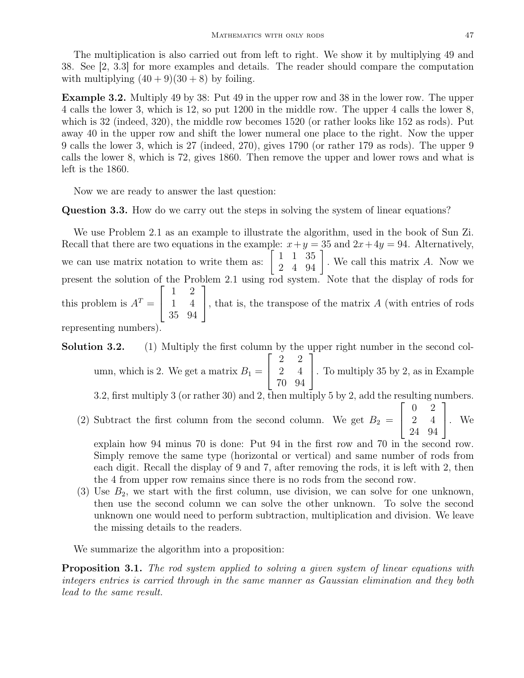The multiplication is also carried out from left to right. We show it by multiplying 49 and 38. See [2, 3.3] for more examples and details. The reader should compare the computation with multiplying  $(40 + 9)(30 + 8)$  by foiling.

Example 3.2. Multiply 49 by 38: Put 49 in the upper row and 38 in the lower row. The upper 4 calls the lower 3, which is 12, so put 1200 in the middle row. The upper 4 calls the lower 8, which is 32 (indeed, 320), the middle row becomes 1520 (or rather looks like 152 as rods). Put away 40 in the upper row and shift the lower numeral one place to the right. Now the upper 9 calls the lower 3, which is 27 (indeed, 270), gives 1790 (or rather 179 as rods). The upper 9 calls the lower 8, which is 72, gives 1860. Then remove the upper and lower rows and what is left is the 1860.

Now we are ready to answer the last question:

Question 3.3. How do we carry out the steps in solving the system of linear equations?

We use Problem 2.1 as an example to illustrate the algorithm, used in the book of Sun Zi. Recall that there are two equations in the example:  $x+y=35$  and  $2x+4y=94$ . Alternatively, we can use matrix notation to write them as:  $\begin{bmatrix} 1 & 1 & 35 \\ 2 & 4 & 94 \end{bmatrix}$ . We call this matrix A. Now we present the solution of the Problem 2.1 using rod system. Note that the display of rods for this problem is  $A^T =$  $\sqrt{ }$  $\vert$ 1 2 1 4 35 94 1 , that is, the transpose of the matrix  $A$  (with entries of rods representing numbers).

- Solution 3.2. (1) Multiply the first column by the upper right number in the second column, which is 2. We get a matrix  $B_1 =$  $\sqrt{ }$  $\overline{1}$ 2 2 2 4 70 94 1 . To multiply 35 by 2, as in Example 3.2, first multiply 3 (or rather 30) and 2, then multiply 5 by 2, add the resulting numbers.
	- (2) Subtract the first column from the second column. We get  $B_2 =$  $\sqrt{ }$  $\overline{1}$ 0 2 2 4 24 94 1  $\vert \cdot \vert$  We

explain how 94 minus 70 is done: Put 94 in the first row and 70 in the second row. Simply remove the same type (horizontal or vertical) and same number of rods from each digit. Recall the display of 9 and 7, after removing the rods, it is left with 2, then the 4 from upper row remains since there is no rods from the second row.

(3) Use  $B_2$ , we start with the first column, use division, we can solve for one unknown, then use the second column we can solve the other unknown. To solve the second unknown one would need to perform subtraction, multiplication and division. We leave the missing details to the readers.

We summarize the algorithm into a proposition:

**Proposition 3.1.** The rod system applied to solving a given system of linear equations with integers entries is carried through in the same manner as Gaussian elimination and they both lead to the same result.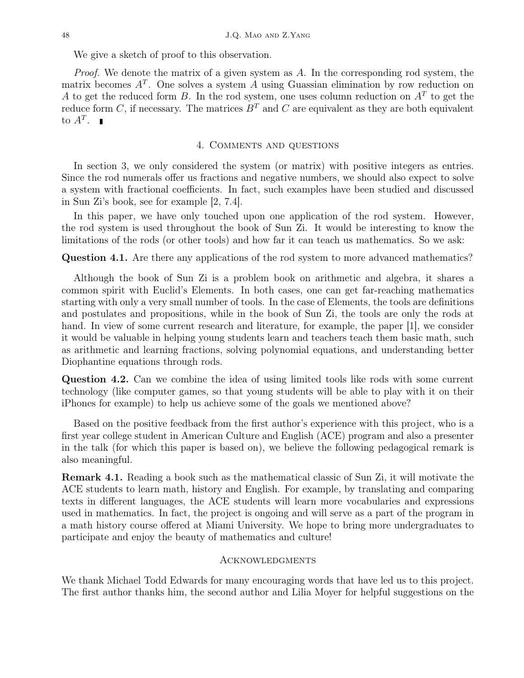We give a sketch of proof to this observation.

Proof. We denote the matrix of a given system as A. In the corresponding rod system, the matrix becomes  $A<sup>T</sup>$ . One solves a system A using Guassian elimination by row reduction on A to get the reduced form B. In the rod system, one uses column reduction on  $A<sup>T</sup>$  to get the reduce form C, if necessary. The matrices  $B<sup>T</sup>$  and C are equivalent as they are both equivalent to  $A^T$ .

#### 4. Comments and questions

In section 3, we only considered the system (or matrix) with positive integers as entries. Since the rod numerals offer us fractions and negative numbers, we should also expect to solve a system with fractional coefficients. In fact, such examples have been studied and discussed in Sun Zi's book, see for example [2, 7.4].

In this paper, we have only touched upon one application of the rod system. However, the rod system is used throughout the book of Sun Zi. It would be interesting to know the limitations of the rods (or other tools) and how far it can teach us mathematics. So we ask:

#### Question 4.1. Are there any applications of the rod system to more advanced mathematics?

Although the book of Sun Zi is a problem book on arithmetic and algebra, it shares a common spirit with Euclid's Elements. In both cases, one can get far-reaching mathematics starting with only a very small number of tools. In the case of Elements, the tools are definitions and postulates and propositions, while in the book of Sun Zi, the tools are only the rods at hand. In view of some current research and literature, for example, the paper [1], we consider it would be valuable in helping young students learn and teachers teach them basic math, such as arithmetic and learning fractions, solving polynomial equations, and understanding better Diophantine equations through rods.

Question 4.2. Can we combine the idea of using limited tools like rods with some current technology (like computer games, so that young students will be able to play with it on their iPhones for example) to help us achieve some of the goals we mentioned above?

Based on the positive feedback from the first author's experience with this project, who is a first year college student in American Culture and English (ACE) program and also a presenter in the talk (for which this paper is based on), we believe the following pedagogical remark is also meaningful.

Remark 4.1. Reading a book such as the mathematical classic of Sun Zi, it will motivate the ACE students to learn math, history and English. For example, by translating and comparing texts in different languages, the ACE students will learn more vocabularies and expressions used in mathematics. In fact, the project is ongoing and will serve as a part of the program in a math history course offered at Miami University. We hope to bring more undergraduates to participate and enjoy the beauty of mathematics and culture!

#### Acknowledgments

We thank Michael Todd Edwards for many encouraging words that have led us to this project. The first author thanks him, the second author and Lilia Moyer for helpful suggestions on the